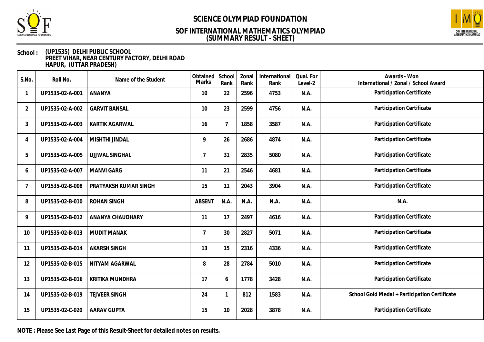



### **School : (UP1535) DELHI PUBLIC SCHOOL PREET VIHAR, NEAR CENTURY FACTORY, DELHI ROAD HAPUR, (UTTAR PRADESH)**

| S.No.          | Roll No.        | Name of the Student   | Obtained<br><b>Marks</b> | School<br>Rank | Zonal<br>Rank | International<br>Rank | Qual. For<br>Level-2 | Awards - Won<br>International / Zonal / School Award |
|----------------|-----------------|-----------------------|--------------------------|----------------|---------------|-----------------------|----------------------|------------------------------------------------------|
|                | UP1535-02-A-001 | ANANYA                | 10                       | 22             | 2596          | 4753                  | N.A.                 | Participation Certificate                            |
| $\overline{2}$ | UP1535-02-A-002 | <b>GARVIT BANSAL</b>  | 10                       | 23             | 2599          | 4756                  | N.A.                 | Participation Certificate                            |
| 3              | UP1535-02-A-003 | <b>KARTIK AGARWAL</b> | 16                       | $\overline{7}$ | 1858          | 3587                  | N.A.                 | Participation Certificate                            |
| 4              | UP1535-02-A-004 | MISHTHI JINDAL        | 9                        | 26             | 2686          | 4874                  | N.A.                 | Participation Certificate                            |
| 5              | UP1535-02-A-005 | <b>UJJWAL SINGHAL</b> | $\overline{7}$           | 31             | 2835          | 5080                  | N.A.                 | Participation Certificate                            |
| 6              | UP1535-02-A-007 | <b>MANVI GARG</b>     | 11                       | 21             | 2546          | 4681                  | N.A.                 | Participation Certificate                            |
| 7              | UP1535-02-B-008 | PRATYAKSH KUMAR SINGH | 15                       | 11             | 2043          | 3904                  | N.A.                 | Participation Certificate                            |
| 8              | UP1535-02-B-010 | <b>ROHAN SINGH</b>    | <b>ABSENT</b>            | N.A.           | N.A.          | N.A.                  | N.A.                 | N.A.                                                 |
| 9              | UP1535-02-B-012 | ANANYA CHAUDHARY      | 11                       | 17             | 2497          | 4616                  | N.A.                 | Participation Certificate                            |
| 10             | UP1535-02-B-013 | <b>MUDIT MANAK</b>    | $\overline{7}$           | 30             | 2827          | 5071                  | N.A.                 | Participation Certificate                            |
| 11             | UP1535-02-B-014 | <b>AKARSH SINGH</b>   | 13                       | 15             | 2316          | 4336                  | N.A.                 | Participation Certificate                            |
| 12             | UP1535-02-B-015 | NITYAM AGARWAL        | 8                        | 28             | 2784          | 5010                  | N.A.                 | Participation Certificate                            |
| 13             | UP1535-02-B-016 | KRITIKA MUNDHRA       | 17                       | 6              | 1778          | 3428                  | N.A.                 | Participation Certificate                            |
| 14             | UP1535-02-B-019 | <b>TEJVEER SINGH</b>  | 24                       | 1              | 812           | 1583                  | N.A.                 | School Gold Medal + Participation Certificate        |
| 15             | UP1535-02-C-020 | <b>AARAV GUPTA</b>    | 15                       | 10             | 2028          | 3878                  | N.A.                 | Participation Certificate                            |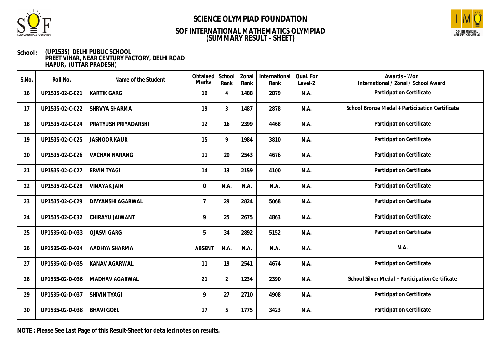



### **School : (UP1535) DELHI PUBLIC SCHOOL PREET VIHAR, NEAR CENTURY FACTORY, DELHI ROAD HAPUR, (UTTAR PRADESH)**

| S.No. | Roll No.        | Name of the Student  | Obtained<br>Marks | School<br>Rank | Zonal<br>Rank | International<br>Rank | Qual. For<br>Level-2 | Awards - Won<br>International / Zonal / School Award |
|-------|-----------------|----------------------|-------------------|----------------|---------------|-----------------------|----------------------|------------------------------------------------------|
| 16    | UP1535-02-C-021 | <b>KARTIK GARG</b>   | 19                | 4              | 1488          | 2879                  | N.A.                 | Participation Certificate                            |
| 17    | UP1535-02-C-022 | SHRVYA SHARMA        | 19                | 3              | 1487          | 2878                  | N.A.                 | School Bronze Medal + Participation Certificate      |
| 18    | UP1535-02-C-024 | PRATYUSH PRIYADARSHI | 12                | 16             | 2399          | 4468                  | N.A.                 | Participation Certificate                            |
| 19    | UP1535-02-C-025 | <b>JASNOOR KAUR</b>  | 15                | 9              | 1984          | 3810                  | N.A.                 | Participation Certificate                            |
| 20    | UP1535-02-C-026 | <b>VACHAN NARANG</b> | 11                | 20             | 2543          | 4676                  | N.A.                 | Participation Certificate                            |
| 21    | UP1535-02-C-027 | <b>ERVIN TYAGI</b>   | 14                | 13             | 2159          | 4100                  | N.A.                 | Participation Certificate                            |
| 22    | UP1535-02-C-028 | <b>VINAYAK JAIN</b>  | $\mathbf 0$       | N.A.           | N.A.          | N.A.                  | N.A.                 | Participation Certificate                            |
| 23    | UP1535-02-C-029 | DIVYANSHI AGARWAL    | $\overline{7}$    | 29             | 2824          | 5068                  | N.A.                 | Participation Certificate                            |
| 24    | UP1535-02-C-032 | CHIRAYU JAIWANT      | 9                 | 25             | 2675          | 4863                  | N.A.                 | Participation Certificate                            |
| 25    | UP1535-02-D-033 | <b>OJASVI GARG</b>   | 5                 | 34             | 2892          | 5152                  | N.A.                 | Participation Certificate                            |
| 26    | UP1535-02-D-034 | AADHYA SHARMA        | <b>ABSENT</b>     | N.A.           | N.A.          | N.A.                  | N.A.                 | N.A.                                                 |
| 27    | UP1535-02-D-035 | KANAV AGARWAL        | 11                | 19             | 2541          | 4674                  | N.A.                 | Participation Certificate                            |
| 28    | UP1535-02-D-036 | MADHAV AGARWAL       | 21                | $\overline{2}$ | 1234          | 2390                  | N.A.                 | School Silver Medal + Participation Certificate      |
| 29    | UP1535-02-D-037 | <b>SHIVIN TYAGI</b>  | 9                 | 27             | 2710          | 4908                  | N.A.                 | Participation Certificate                            |
| 30    | UP1535-02-D-038 | <b>BHAVI GOEL</b>    | 17                | 5              | 1775          | 3423                  | N.A.                 | Participation Certificate                            |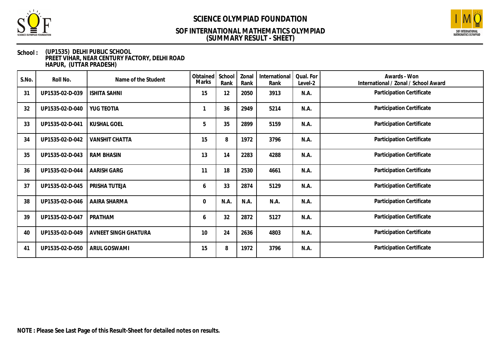



### **School : (UP1535) DELHI PUBLIC SCHOOL PREET VIHAR, NEAR CENTURY FACTORY, DELHI ROAD HAPUR, (UTTAR PRADESH)**

| S.No. | Roll No.        | Name of the Student   | Obtained<br>Marks | School<br>Rank | Zonal<br>Rank | International<br>Rank | Qual. For<br>Level-2 | Awards - Won<br>International / Zonal / School Award |
|-------|-----------------|-----------------------|-------------------|----------------|---------------|-----------------------|----------------------|------------------------------------------------------|
| 31    | UP1535-02-D-039 | <b>ISHITA SAHNI</b>   | 15                | 12             | 2050          | 3913                  | N.A.                 | Participation Certificate                            |
| 32    | UP1535-02-D-040 | YUG TEOTIA            |                   | 36             | 2949          | 5214                  | N.A.                 | Participation Certificate                            |
| 33    | UP1535-02-D-041 | <b>KUSHAL GOEL</b>    | 5                 | 35             | 2899          | 5159                  | N.A.                 | Participation Certificate                            |
| 34    | UP1535-02-D-042 | <b>VANSHIT CHATTA</b> | 15                | 8              | 1972          | 3796                  | N.A.                 | Participation Certificate                            |
| 35    | UP1535-02-D-043 | <b>RAM BHASIN</b>     | 13                | 14             | 2283          | 4288                  | N.A.                 | Participation Certificate                            |
| 36    | UP1535-02-D-044 | AARISH GARG           | 11                | 18             | 2530          | 4661                  | N.A.                 | Participation Certificate                            |
| 37    | UP1535-02-D-045 | PRISHA TUTEJA         | 6                 | 33             | 2874          | 5129                  | N.A.                 | Participation Certificate                            |
| 38    | UP1535-02-D-046 | AAIRA SHARMA          | $\mathbf 0$       | N.A.           | N.A.          | N.A.                  | N.A.                 | Participation Certificate                            |
| 39    | UP1535-02-D-047 | PRATHAM               | 6                 | 32             | 2872          | 5127                  | N.A.                 | Participation Certificate                            |
| 40    | UP1535-02-D-049 | AVNEET SINGH GHATURA  | 10                | 24             | 2636          | 4803                  | N.A.                 | Participation Certificate                            |
| 41    | UP1535-02-D-050 | ARUL GOSWAMI          | 15                | 8              | 1972          | 3796                  | N.A.                 | Participation Certificate                            |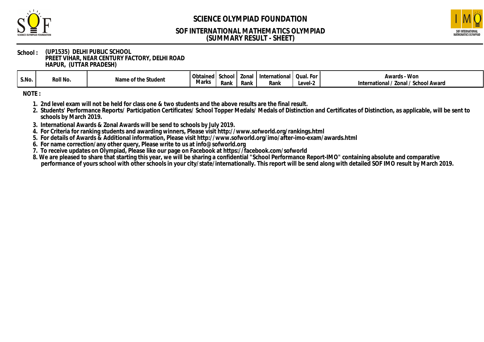



#### **School : (UP1535) DELHI PUBLIC SCHOOL PREET VIHAR, NEAR CENTURY FACTORY, DELHI ROAD HAPUR, (UTTAR PRADESH)**

| S.No. | Roll No. | Student<br>the<br>$"! \cap m$<br>.nt<br>סו ומצו | Obtained<br>Marks | School<br>Rank | Zonal<br>Rank | International<br>Rank | For<br><b>11 12 11</b><br>Quuri<br>Level-2 | - Won<br>Awards -<br>Zonal<br>' School Award<br>$\ldots$ school<br>International |
|-------|----------|-------------------------------------------------|-------------------|----------------|---------------|-----------------------|--------------------------------------------|----------------------------------------------------------------------------------|
|-------|----------|-------------------------------------------------|-------------------|----------------|---------------|-----------------------|--------------------------------------------|----------------------------------------------------------------------------------|

**NOTE :**

- **1. 2nd level exam will not be held for class one & two students and the above results are the final result.**
- **2. Students' Performance Reports/ Participation Certificates/ School Topper Medals/ Medals of Distinction and Certificates of Distinction, as applicable, will be sent to schools by March 2019.**
- **3. International Awards & Zonal Awards will be send to schools by July 2019.**
- **4. For Criteria for ranking students and awarding winners, Please visit http://www.sofworld.org/rankings.html**
- **5. For details of Awards & Additional information, Please visit http://www.sofworld.org/imo/after-imo-exam/awards.html**
- **6. For name correction/any other query, Please write to us at info@sofworld.org**
- **7. To receive updates on Olympiad, Please like our page on Facebook at https://facebook.com/sofworld**
- **8. We are pleased to share that starting this year, we will be sharing a confidential "School Performance Report-IMO" containing absolute and comparative performance of yours school with other schools in your city/state/internationally. This report will be send along with detailed SOF IMO result by March 2019.**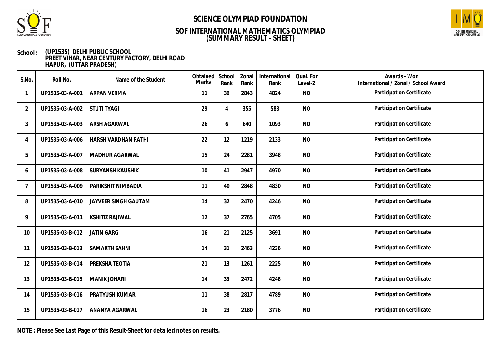



### **School : (UP1535) DELHI PUBLIC SCHOOL PREET VIHAR, NEAR CENTURY FACTORY, DELHI ROAD HAPUR, (UTTAR PRADESH)**

| S.No.          | Roll No.        | Name of the Student     | Obtained<br>Marks | School<br>Rank | Zonal<br>Rank | International<br>Rank | Qual. For<br>Level-2 | Awards - Won<br>International / Zonal / School Award |
|----------------|-----------------|-------------------------|-------------------|----------------|---------------|-----------------------|----------------------|------------------------------------------------------|
|                | UP1535-03-A-001 | ARPAN VERMA             | 11                | 39             | 2843          | 4824                  | <b>NO</b>            | Participation Certificate                            |
| $\overline{2}$ | UP1535-03-A-002 | <b>STUTI TYAGI</b>      | 29                | 4              | 355           | 588                   | <b>NO</b>            | Participation Certificate                            |
| 3              | UP1535-03-A-003 | ARSH AGARWAL            | 26                | 6              | 640           | 1093                  | <b>NO</b>            | Participation Certificate                            |
| 4              | UP1535-03-A-006 | HARSH VARDHAN RATHI     | 22                | 12             | 1219          | 2133                  | <b>NO</b>            | Participation Certificate                            |
| 5              | UP1535-03-A-007 | MADHUR AGARWAL          | 15                | 24             | 2281          | 3948                  | <b>NO</b>            | Participation Certificate                            |
| 6              | UP1535-03-A-008 | <b>SURYANSH KAUSHIK</b> | 10                | 41             | 2947          | 4970                  | <b>NO</b>            | Participation Certificate                            |
| 7              | UP1535-03-A-009 | PARIKSHIT NIMBADIA      | 11                | 40             | 2848          | 4830                  | <b>NO</b>            | Participation Certificate                            |
| 8              | UP1535-03-A-010 | JAYVEER SINGH GAUTAM    | 14                | 32             | 2470          | 4246                  | <b>NO</b>            | Participation Certificate                            |
| 9              | UP1535-03-A-011 | <b>KSHITIZ RAJIWAL</b>  | 12                | 37             | 2765          | 4705                  | <b>NO</b>            | Participation Certificate                            |
| 10             | UP1535-03-B-012 | <b>JATIN GARG</b>       | 16                | 21             | 2125          | 3691                  | <b>NO</b>            | Participation Certificate                            |
| 11             | UP1535-03-B-013 | SAMARTH SAHNI           | 14                | 31             | 2463          | 4236                  | <b>NO</b>            | Participation Certificate                            |
| 12             | UP1535-03-B-014 | PREKSHA TEOTIA          | 21                | 13             | 1261          | 2225                  | <b>NO</b>            | Participation Certificate                            |
| 13             | UP1535-03-B-015 | <b>MANIK JOHARI</b>     | 14                | 33             | 2472          | 4248                  | <b>NO</b>            | Participation Certificate                            |
| 14             | UP1535-03-B-016 | PRATYUSH KUMAR          | 11                | 38             | 2817          | 4789                  | <b>NO</b>            | Participation Certificate                            |
| 15             | UP1535-03-B-017 | ANANYA AGARWAL          | 16                | 23             | 2180          | 3776                  | <b>NO</b>            | Participation Certificate                            |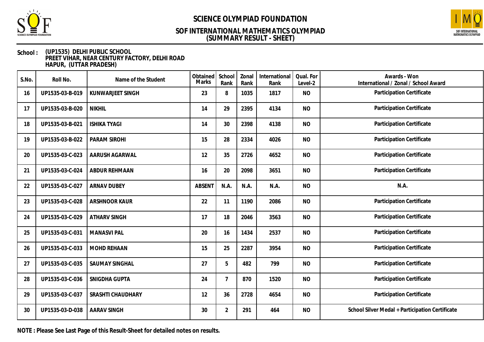



### **School : (UP1535) DELHI PUBLIC SCHOOL PREET VIHAR, NEAR CENTURY FACTORY, DELHI ROAD HAPUR, (UTTAR PRADESH)**

| S.No. | Roll No.        | Name of the Student   | Obtained<br>Marks | School<br>Rank | Zonal<br>Rank | International<br>Rank | Qual. For<br>Level-2 | Awards - Won<br>International / Zonal / School Award |
|-------|-----------------|-----------------------|-------------------|----------------|---------------|-----------------------|----------------------|------------------------------------------------------|
| 16    | UP1535-03-B-019 | KUNWARJEET SINGH      | 23                | 8              | 1035          | 1817                  | <b>NO</b>            | Participation Certificate                            |
| 17    | UP1535-03-B-020 | <b>NIKHIL</b>         | 14                | 29             | 2395          | 4134                  | <b>NO</b>            | Participation Certificate                            |
| 18    | UP1535-03-B-021 | <b>ISHIKA TYAGI</b>   | 14                | 30             | 2398          | 4138                  | <b>NO</b>            | Participation Certificate                            |
| 19    | UP1535-03-B-022 | PARAM SIROHI          | 15                | 28             | 2334          | 4026                  | <b>NO</b>            | Participation Certificate                            |
| 20    | UP1535-03-C-023 | AARUSH AGARWAL        | 12                | 35             | 2726          | 4652                  | <b>NO</b>            | Participation Certificate                            |
| 21    | UP1535-03-C-024 | ABDUR REHMAAN         | 16                | 20             | 2098          | 3651                  | <b>NO</b>            | Participation Certificate                            |
| 22    | UP1535-03-C-027 | <b>ARNAV DUBEY</b>    | <b>ABSENT</b>     | N.A.           | N.A.          | N.A.                  | <b>NO</b>            | N.A.                                                 |
| 23    | UP1535-03-C-028 | <b>ARSHNOOR KAUR</b>  | 22                | 11             | 1190          | 2086                  | <b>NO</b>            | Participation Certificate                            |
| 24    | UP1535-03-C-029 | <b>ATHARV SINGH</b>   | 17                | 18             | 2046          | 3563                  | <b>NO</b>            | Participation Certificate                            |
| 25    | UP1535-03-C-031 | <b>MANASVI PAL</b>    | 20                | 16             | 1434          | 2537                  | <b>NO</b>            | Participation Certificate                            |
| 26    | UP1535-03-C-033 | <b>MOHD REHAAN</b>    | 15                | 25             | 2287          | 3954                  | <b>NO</b>            | Participation Certificate                            |
| 27    | UP1535-03-C-035 | <b>SAUMAY SINGHAL</b> | 27                | 5              | 482           | 799                   | <b>NO</b>            | Participation Certificate                            |
| 28    | UP1535-03-C-036 | SNIGDHA GUPTA         | 24                | $\overline{7}$ | 870           | 1520                  | <b>NO</b>            | Participation Certificate                            |
| 29    | UP1535-03-C-037 | SRASHTI CHAUDHARY     | 12                | 36             | 2728          | 4654                  | <b>NO</b>            | Participation Certificate                            |
| 30    | UP1535-03-D-038 | <b>AARAV SINGH</b>    | 30                | $\overline{2}$ | 291           | 464                   | <b>NO</b>            | School Silver Medal + Participation Certificate      |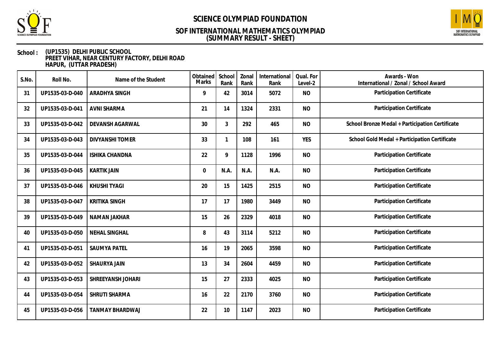



### **School : (UP1535) DELHI PUBLIC SCHOOL PREET VIHAR, NEAR CENTURY FACTORY, DELHI ROAD HAPUR, (UTTAR PRADESH)**

| S.No. | Roll No.        | Name of the Student    | Obtained<br><b>Marks</b> | School<br>Rank | Zonal<br>Rank | International<br>Rank | Qual. For<br>Level-2 | Awards - Won<br>International / Zonal / School Award |
|-------|-----------------|------------------------|--------------------------|----------------|---------------|-----------------------|----------------------|------------------------------------------------------|
| 31    | UP1535-03-D-040 | <b>ARADHYA SINGH</b>   | 9                        | 42             | 3014          | 5072                  | <b>NO</b>            | Participation Certificate                            |
| 32    | UP1535-03-D-041 | AVNI SHARMA            | 21                       | 14             | 1324          | 2331                  | <b>NO</b>            | Participation Certificate                            |
| 33    | UP1535-03-D-042 | DEVANSH AGARWAL        | 30                       | $\mathfrak{Z}$ | 292           | 465                   | <b>NO</b>            | School Bronze Medal + Participation Certificate      |
| 34    | UP1535-03-D-043 | <b>DIVYANSHI TOMER</b> | 33                       | 1              | 108           | 161                   | <b>YES</b>           | School Gold Medal + Participation Certificate        |
| 35    | UP1535-03-D-044 | <b>ISHIKA CHANDNA</b>  | 22                       | 9              | 1128          | 1996                  | <b>NO</b>            | Participation Certificate                            |
| 36    | UP1535-03-D-045 | <b>KARTIK JAIN</b>     | $\mathbf 0$              | N.A.           | N.A.          | N.A.                  | <b>NO</b>            | Participation Certificate                            |
| 37    | UP1535-03-D-046 | <b>KHUSHI TYAGI</b>    | 20                       | 15             | 1425          | 2515                  | <b>NO</b>            | Participation Certificate                            |
| 38    | UP1535-03-D-047 | <b>KRITIKA SINGH</b>   | 17                       | 17             | 1980          | 3449                  | <b>NO</b>            | Participation Certificate                            |
| 39    | UP1535-03-D-049 | NAMAN JAKHAR           | 15                       | 26             | 2329          | 4018                  | <b>NO</b>            | Participation Certificate                            |
| 40    | UP1535-03-D-050 | NEHAL SINGHAL          | 8                        | 43             | 3114          | 5212                  | <b>NO</b>            | Participation Certificate                            |
| 41    | UP1535-03-D-051 | <b>SAUMYA PATEL</b>    | 16                       | 19             | 2065          | 3598                  | <b>NO</b>            | Participation Certificate                            |
| 42    | UP1535-03-D-052 | SHAURYA JAIN           | 13                       | 34             | 2604          | 4459                  | <b>NO</b>            | Participation Certificate                            |
| 43    | UP1535-03-D-053 | SHREEYANSH JOHARI      | 15                       | 27             | 2333          | 4025                  | <b>NO</b>            | Participation Certificate                            |
| 44    | UP1535-03-D-054 | SHRUTI SHARMA          | 16                       | 22             | 2170          | 3760                  | <b>NO</b>            | Participation Certificate                            |
| 45    | UP1535-03-D-056 | <b>TANMAY BHARDWAJ</b> | 22                       | 10             | 1147          | 2023                  | <b>NO</b>            | Participation Certificate                            |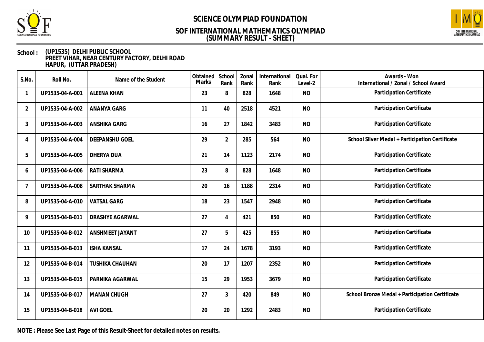



### **School : (UP1535) DELHI PUBLIC SCHOOL PREET VIHAR, NEAR CENTURY FACTORY, DELHI ROAD HAPUR, (UTTAR PRADESH)**

| S.No.          | Roll No.        | Name of the Student    | Obtained<br>Marks | School<br>Rank | Zonal<br>Rank | International<br>Rank | Qual. For<br>Level-2 | Awards - Won<br>International / Zonal / School Award |
|----------------|-----------------|------------------------|-------------------|----------------|---------------|-----------------------|----------------------|------------------------------------------------------|
|                | UP1535-04-A-001 | <b>ALEENA KHAN</b>     | 23                | 8              | 828           | 1648                  | <b>NO</b>            | Participation Certificate                            |
| $\overline{2}$ | UP1535-04-A-002 | ANANYA GARG            | 11                | 40             | 2518          | 4521                  | <b>NO</b>            | Participation Certificate                            |
| 3              | UP1535-04-A-003 | ANSHIKA GARG           | 16                | 27             | 1842          | 3483                  | <b>NO</b>            | Participation Certificate                            |
| 4              | UP1535-04-A-004 | DEEPANSHU GOEL         | 29                | $\overline{2}$ | 285           | 564                   | <b>NO</b>            | School Silver Medal + Participation Certificate      |
| 5              | UP1535-04-A-005 | DHERYA DUA             | 21                | 14             | 1123          | 2174                  | <b>NO</b>            | Participation Certificate                            |
| 6              | UP1535-04-A-006 | RATI SHARMA            | 23                | 8              | 828           | 1648                  | <b>NO</b>            | Participation Certificate                            |
| 7              | UP1535-04-A-008 | SARTHAK SHARMA         | 20                | 16             | 1188          | 2314                  | <b>NO</b>            | Participation Certificate                            |
| 8              | UP1535-04-A-010 | <b>VATSAL GARG</b>     | 18                | 23             | 1547          | 2948                  | <b>NO</b>            | Participation Certificate                            |
| 9              | UP1535-04-B-011 | DRASHYE AGARWAL        | 27                | 4              | 421           | 850                   | <b>NO</b>            | Participation Certificate                            |
| 10             | UP1535-04-B-012 | ANSHMEET JAYANT        | 27                | 5              | 425           | 855                   | <b>NO</b>            | Participation Certificate                            |
| 11             | UP1535-04-B-013 | <b>ISHA KANSAL</b>     | 17                | 24             | 1678          | 3193                  | <b>NO</b>            | Participation Certificate                            |
| 12             | UP1535-04-B-014 | <b>TUSHIKA CHAUHAN</b> | 20                | 17             | 1207          | 2352                  | <b>NO</b>            | Participation Certificate                            |
| 13             | UP1535-04-B-015 | PARNIKA AGARWAL        | 15                | 29             | 1953          | 3679                  | <b>NO</b>            | Participation Certificate                            |
| 14             | UP1535-04-B-017 | <b>MANAN CHUGH</b>     | 27                | 3              | 420           | 849                   | <b>NO</b>            | School Bronze Medal + Participation Certificate      |
| 15             | UP1535-04-B-018 | <b>AVI GOEL</b>        | 20                | 20             | 1292          | 2483                  | <b>NO</b>            | Participation Certificate                            |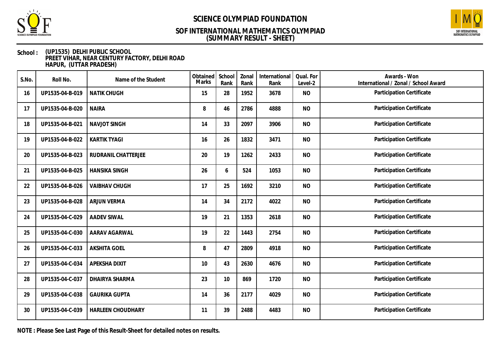



### **School : (UP1535) DELHI PUBLIC SCHOOL PREET VIHAR, NEAR CENTURY FACTORY, DELHI ROAD HAPUR, (UTTAR PRADESH)**

| S.No. | Roll No.        | Name of the Student  | Obtained<br>Marks | School<br>Rank | Zonal<br>Rank | International<br>Rank | Qual. For<br>Level-2 | Awards - Won<br>International / Zonal / School Award |
|-------|-----------------|----------------------|-------------------|----------------|---------------|-----------------------|----------------------|------------------------------------------------------|
| 16    | UP1535-04-B-019 | <b>NATIK CHUGH</b>   | 15                | 28             | 1952          | 3678                  | <b>NO</b>            | Participation Certificate                            |
| 17    | UP1535-04-B-020 | <b>NAIRA</b>         | 8                 | 46             | 2786          | 4888                  | <b>NO</b>            | Participation Certificate                            |
| 18    | UP1535-04-B-021 | <b>NAVJOT SINGH</b>  | 14                | 33             | 2097          | 3906                  | <b>NO</b>            | Participation Certificate                            |
| 19    | UP1535-04-B-022 | <b>KARTIK TYAGI</b>  | 16                | 26             | 1832          | 3471                  | <b>NO</b>            | Participation Certificate                            |
| 20    | UP1535-04-B-023 | RUDRANIL CHATTERJEE  | 20                | 19             | 1262          | 2433                  | <b>NO</b>            | Participation Certificate                            |
| 21    | UP1535-04-B-025 | <b>HANSIKA SINGH</b> | 26                | 6              | 524           | 1053                  | <b>NO</b>            | Participation Certificate                            |
| 22    | UP1535-04-B-026 | <b>VAIBHAV CHUGH</b> | 17                | 25             | 1692          | 3210                  | <b>NO</b>            | Participation Certificate                            |
| 23    | UP1535-04-B-028 | <b>ARJUN VERMA</b>   | 14                | 34             | 2172          | 4022                  | <b>NO</b>            | Participation Certificate                            |
| 24    | UP1535-04-C-029 | <b>AADEV SIWAL</b>   | 19                | 21             | 1353          | 2618                  | <b>NO</b>            | Participation Certificate                            |
| 25    | UP1535-04-C-030 | AARAV AGARWAL        | 19                | 22             | 1443          | 2754                  | <b>NO</b>            | Participation Certificate                            |
| 26    | UP1535-04-C-033 | <b>AKSHITA GOEL</b>  | 8                 | 47             | 2809          | 4918                  | <b>NO</b>            | Participation Certificate                            |
| 27    | UP1535-04-C-034 | APEKSHA DIXIT        | 10                | 43             | 2630          | 4676                  | <b>NO</b>            | Participation Certificate                            |
| 28    | UP1535-04-C-037 | DHAIRYA SHARMA       | 23                | 10             | 869           | 1720                  | <b>NO</b>            | Participation Certificate                            |
| 29    | UP1535-04-C-038 | <b>GAURIKA GUPTA</b> | 14                | 36             | 2177          | 4029                  | <b>NO</b>            | Participation Certificate                            |
| 30    | UP1535-04-C-039 | HARLEEN CHOUDHARY    | 11                | 39             | 2488          | 4483                  | <b>NO</b>            | Participation Certificate                            |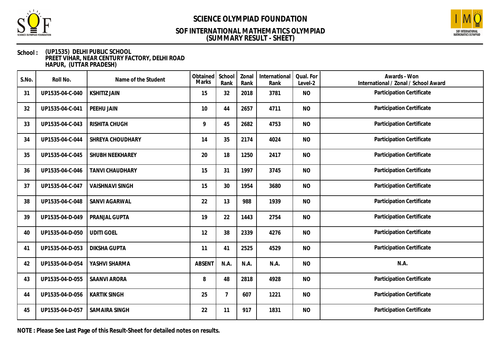



### **School : (UP1535) DELHI PUBLIC SCHOOL PREET VIHAR, NEAR CENTURY FACTORY, DELHI ROAD HAPUR, (UTTAR PRADESH)**

| S.No. | Roll No.        | Name of the Student    | Obtained<br>Marks | School<br>Rank | Zonal<br>Rank | International<br>Rank | Qual. For<br>Level-2 | Awards - Won<br>International / Zonal / School Award |
|-------|-----------------|------------------------|-------------------|----------------|---------------|-----------------------|----------------------|------------------------------------------------------|
| 31    | UP1535-04-C-040 | <b>KSHITIZ JAIN</b>    | 15                | 32             | 2018          | 3781                  | <b>NO</b>            | Participation Certificate                            |
| 32    | UP1535-04-C-041 | PEEHU JAIN             | 10                | 44             | 2657          | 4711                  | <b>NO</b>            | Participation Certificate                            |
| 33    | UP1535-04-C-043 | RISHITA CHUGH          | 9                 | 45             | 2682          | 4753                  | <b>NO</b>            | Participation Certificate                            |
| 34    | UP1535-04-C-044 | SHREYA CHOUDHARY       | 14                | 35             | 2174          | 4024                  | <b>NO</b>            | Participation Certificate                            |
| 35    | UP1535-04-C-045 | SHUBH NEEKHAREY        | 20                | 18             | 1250          | 2417                  | <b>NO</b>            | Participation Certificate                            |
| 36    | UP1535-04-C-046 | <b>TANVI CHAUDHARY</b> | 15                | 31             | 1997          | 3745                  | <b>NO</b>            | Participation Certificate                            |
| 37    | UP1535-04-C-047 | <b>VAISHNAVI SINGH</b> | 15                | 30             | 1954          | 3680                  | <b>NO</b>            | Participation Certificate                            |
| 38    | UP1535-04-C-048 | SANVI AGARWAL          | 22                | 13             | 988           | 1939                  | <b>NO</b>            | Participation Certificate                            |
| 39    | UP1535-04-D-049 | PRANJAL GUPTA          | 19                | 22             | 1443          | 2754                  | <b>NO</b>            | Participation Certificate                            |
| 40    | UP1535-04-D-050 | <b>UDITI GOEL</b>      | 12                | 38             | 2339          | 4276                  | <b>NO</b>            | Participation Certificate                            |
| 41    | UP1535-04-D-053 | <b>DIKSHA GUPTA</b>    | 11                | 41             | 2525          | 4529                  | <b>NO</b>            | Participation Certificate                            |
| 42    | UP1535-04-D-054 | YASHVI SHARMA          | <b>ABSENT</b>     | N.A.           | N.A.          | N.A.                  | <b>NO</b>            | N.A.                                                 |
| 43    | UP1535-04-D-055 | <b>SAANVI ARORA</b>    | 8                 | 48             | 2818          | 4928                  | <b>NO</b>            | Participation Certificate                            |
| 44    | UP1535-04-D-056 | <b>KARTIK SINGH</b>    | 25                | 7              | 607           | 1221                  | <b>NO</b>            | Participation Certificate                            |
| 45    | UP1535-04-D-057 | SAMAIRA SINGH          | 22                | 11             | 917           | 1831                  | <b>NO</b>            | Participation Certificate                            |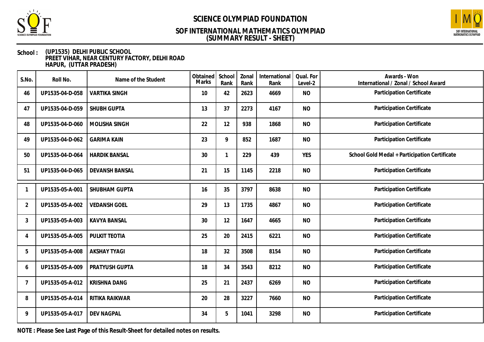



### **School : (UP1535) DELHI PUBLIC SCHOOL PREET VIHAR, NEAR CENTURY FACTORY, DELHI ROAD HAPUR, (UTTAR PRADESH)**

| S.No.          | Roll No.        | Name of the Student   | Obtained<br>Marks | School<br>Rank | Zonal<br>Rank | International<br>Rank | Qual. For<br>Level-2 | Awards - Won<br>International / Zonal / School Award |
|----------------|-----------------|-----------------------|-------------------|----------------|---------------|-----------------------|----------------------|------------------------------------------------------|
| 46             | UP1535-04-D-058 | <b>VARTIKA SINGH</b>  | 10                | 42             | 2623          | 4669                  | <b>NO</b>            | Participation Certificate                            |
| 47             | UP1535-04-D-059 | SHUBH GUPTA           | 13                | 37             | 2273          | 4167                  | <b>NO</b>            | Participation Certificate                            |
| 48             | UP1535-04-D-060 | MOLISHA SINGH         | 22                | 12             | 938           | 1868                  | <b>NO</b>            | Participation Certificate                            |
| 49             | UP1535-04-D-062 | <b>GARIMA KAIN</b>    | 23                | 9              | 852           | 1687                  | <b>NO</b>            | Participation Certificate                            |
| 50             | UP1535-04-D-064 | <b>HARDIK BANSAL</b>  | 30                | -1             | 229           | 439                   | <b>YES</b>           | School Gold Medal + Participation Certificate        |
| 51             | UP1535-04-D-065 | <b>DEVANSH BANSAL</b> | 21                | 15             | 1145          | 2218                  | <b>NO</b>            | Participation Certificate                            |
|                | UP1535-05-A-001 | SHUBHAM GUPTA         | 16                | 35             | 3797          | 8638                  | <b>NO</b>            | Participation Certificate                            |
| $\overline{2}$ | UP1535-05-A-002 | <b>VEDANSH GOEL</b>   | 29                | 13             | 1735          | 4867                  | <b>NO</b>            | Participation Certificate                            |
| 3              | UP1535-05-A-003 | <b>KAVYA BANSAL</b>   | 30                | 12             | 1647          | 4665                  | <b>NO</b>            | Participation Certificate                            |
| 4              | UP1535-05-A-005 | PULKIT TEOTIA         | 25                | 20             | 2415          | 6221                  | <b>NO</b>            | Participation Certificate                            |
| 5              | UP1535-05-A-008 | <b>AKSHAY TYAGI</b>   | 18                | 32             | 3508          | 8154                  | <b>NO</b>            | Participation Certificate                            |
| 6              | UP1535-05-A-009 | PRATYUSH GUPTA        | 18                | 34             | 3543          | 8212                  | <b>NO</b>            | Participation Certificate                            |
| 7              | UP1535-05-A-012 | <b>KRISHNA DANG</b>   | 25                | 21             | 2437          | 6269                  | <b>NO</b>            | Participation Certificate                            |
| 8              | UP1535-05-A-014 | RITIKA RAIKWAR        | 20                | 28             | 3227          | 7660                  | <b>NO</b>            | Participation Certificate                            |
| 9              | UP1535-05-A-017 | <b>DEV NAGPAL</b>     | 34                | 5              | 1041          | 3298                  | <b>NO</b>            | Participation Certificate                            |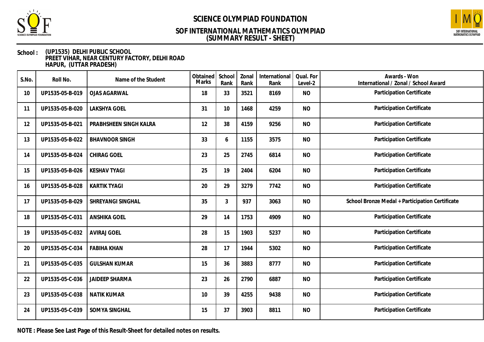



### **School : (UP1535) DELHI PUBLIC SCHOOL PREET VIHAR, NEAR CENTURY FACTORY, DELHI ROAD HAPUR, (UTTAR PRADESH)**

| S.No. | Roll No.        | Name of the Student    | Obtained<br>Marks | School<br>Rank | Zonal<br>Rank | International<br>Rank | Qual. For<br>Level-2 | Awards - Won<br>International / Zonal / School Award |
|-------|-----------------|------------------------|-------------------|----------------|---------------|-----------------------|----------------------|------------------------------------------------------|
| 10    | UP1535-05-B-019 | <b>OJAS AGARWAL</b>    | 18                | 33             | 3521          | 8169                  | <b>NO</b>            | Participation Certificate                            |
| 11    | UP1535-05-B-020 | LAKSHYA GOEL           | 31                | 10             | 1468          | 4259                  | <b>NO</b>            | Participation Certificate                            |
| 12    | UP1535-05-B-021 | PRABHSHEEN SINGH KALRA | 12                | 38             | 4159          | 9256                  | <b>NO</b>            | Participation Certificate                            |
| 13    | UP1535-05-B-022 | <b>BHAVNOOR SINGH</b>  | 33                | 6              | 1155          | 3575                  | <b>NO</b>            | Participation Certificate                            |
| 14    | UP1535-05-B-024 | CHIRAG GOEL            | 23                | 25             | 2745          | 6814                  | <b>NO</b>            | Participation Certificate                            |
| 15    | UP1535-05-B-026 | <b>KESHAV TYAGI</b>    | 25                | 19             | 2404          | 6204                  | <b>NO</b>            | Participation Certificate                            |
| 16    | UP1535-05-B-028 | <b>KARTIK TYAGI</b>    | 20                | 29             | 3279          | 7742                  | <b>NO</b>            | Participation Certificate                            |
| 17    | UP1535-05-B-029 | SHREYANGI SINGHAL      | 35                | $\mathfrak{Z}$ | 937           | 3063                  | <b>NO</b>            | School Bronze Medal + Participation Certificate      |
| 18    | UP1535-05-C-031 | <b>ANSHIKA GOEL</b>    | 29                | 14             | 1753          | 4909                  | <b>NO</b>            | Participation Certificate                            |
| 19    | UP1535-05-C-032 | <b>AVIRAJ GOEL</b>     | 28                | 15             | 1903          | 5237                  | <b>NO</b>            | Participation Certificate                            |
| 20    | UP1535-05-C-034 | <b>FABIHA KHAN</b>     | 28                | 17             | 1944          | 5302                  | <b>NO</b>            | Participation Certificate                            |
| 21    | UP1535-05-C-035 | <b>GULSHAN KUMAR</b>   | 15                | 36             | 3883          | 8777                  | <b>NO</b>            | Participation Certificate                            |
| 22    | UP1535-05-C-036 | <b>JAIDEEP SHARMA</b>  | 23                | 26             | 2790          | 6887                  | <b>NO</b>            | Participation Certificate                            |
| 23    | UP1535-05-C-038 | <b>NATIK KUMAR</b>     | 10                | 39             | 4255          | 9438                  | <b>NO</b>            | Participation Certificate                            |
| 24    | UP1535-05-C-039 | SOMYA SINGHAL          | 15                | 37             | 3903          | 8811                  | <b>NO</b>            | Participation Certificate                            |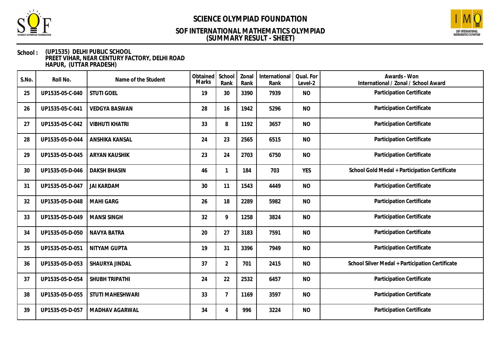



### **School : (UP1535) DELHI PUBLIC SCHOOL PREET VIHAR, NEAR CENTURY FACTORY, DELHI ROAD HAPUR, (UTTAR PRADESH)**

| S.No. | Roll No.        | Name of the Student   | Obtained<br><b>Marks</b> | School<br>Rank | Zonal<br>Rank | International<br>Rank | Qual. For<br>Level-2 | Awards - Won<br>International / Zonal / School Award |
|-------|-----------------|-----------------------|--------------------------|----------------|---------------|-----------------------|----------------------|------------------------------------------------------|
| 25    | UP1535-05-C-040 | <b>STUTI GOEL</b>     | 19                       | 30             | 3390          | 7939                  | <b>NO</b>            | Participation Certificate                            |
| 26    | UP1535-05-C-041 | <b>VEDGYA BASWAN</b>  | 28                       | 16             | 1942          | 5296                  | <b>NO</b>            | Participation Certificate                            |
| 27    | UP1535-05-C-042 | <b>VIBHUTI KHATRI</b> | 33                       | 8              | 1192          | 3657                  | <b>NO</b>            | Participation Certificate                            |
| 28    | UP1535-05-D-044 | ANSHIKA KANSAL        | 24                       | 23             | 2565          | 6515                  | <b>NO</b>            | Participation Certificate                            |
| 29    | UP1535-05-D-045 | <b>ARYAN KAUSHIK</b>  | 23                       | 24             | 2703          | 6750                  | <b>NO</b>            | Participation Certificate                            |
| 30    | UP1535-05-D-046 | <b>DAKSH BHASIN</b>   | 46                       | $\mathbf{1}$   | 184           | 703                   | <b>YES</b>           | School Gold Medal + Participation Certificate        |
| 31    | UP1535-05-D-047 | <b>JAI KARDAM</b>     | 30                       | 11             | 1543          | 4449                  | <b>NO</b>            | Participation Certificate                            |
| 32    | UP1535-05-D-048 | <b>MAHI GARG</b>      | 26                       | 18             | 2289          | 5982                  | <b>NO</b>            | Participation Certificate                            |
| 33    | UP1535-05-D-049 | <b>MANSI SINGH</b>    | 32                       | 9              | 1258          | 3824                  | <b>NO</b>            | Participation Certificate                            |
| 34    | UP1535-05-D-050 | <b>NAVYA BATRA</b>    | 20                       | 27             | 3183          | 7591                  | <b>NO</b>            | Participation Certificate                            |
| 35    | UP1535-05-D-051 | NITYAM GUPTA          | 19                       | 31             | 3396          | 7949                  | <b>NO</b>            | Participation Certificate                            |
| 36    | UP1535-05-D-053 | SHAURYA JINDAL        | 37                       | $\overline{2}$ | 701           | 2415                  | <b>NO</b>            | School Silver Medal + Participation Certificate      |
| 37    | UP1535-05-D-054 | SHUBH TRIPATHI        | 24                       | 22             | 2532          | 6457                  | <b>NO</b>            | Participation Certificate                            |
| 38    | UP1535-05-D-055 | STUTI MAHESHWARI      | 33                       | $\overline{7}$ | 1169          | 3597                  | <b>NO</b>            | Participation Certificate                            |
| 39    | UP1535-05-D-057 | MADHAV AGARWAL        | 34                       | 4              | 996           | 3224                  | <b>NO</b>            | Participation Certificate                            |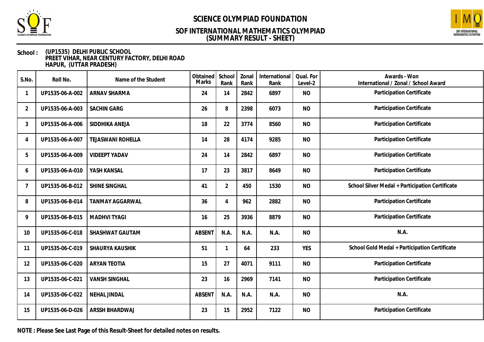



### **School : (UP1535) DELHI PUBLIC SCHOOL PREET VIHAR, NEAR CENTURY FACTORY, DELHI ROAD HAPUR, (UTTAR PRADESH)**

| S.No.          | Roll No.        | Name of the Student      | Obtained<br>Marks | School<br>Rank | Zonal<br>Rank | International<br>Rank | Qual. For<br>Level-2 | Awards - Won<br>International / Zonal / School Award |
|----------------|-----------------|--------------------------|-------------------|----------------|---------------|-----------------------|----------------------|------------------------------------------------------|
|                | UP1535-06-A-002 | <b>ARNAV SHARMA</b>      | 24                | 14             | 2842          | 6897                  | <b>NO</b>            | Participation Certificate                            |
| $\overline{2}$ | UP1535-06-A-003 | <b>SACHIN GARG</b>       | 26                | 8              | 2398          | 6073                  | <b>NO</b>            | Participation Certificate                            |
| 3              | UP1535-06-A-006 | SIDDHIKA ANEJA           | 18                | 22             | 3774          | 8560                  | <b>NO</b>            | Participation Certificate                            |
| 4              | UP1535-06-A-007 | <b>TEJASWANI ROHELLA</b> | 14                | 28             | 4174          | 9285                  | <b>NO</b>            | Participation Certificate                            |
| 5              | UP1535-06-A-009 | <b>VIDEEPT YADAV</b>     | 24                | 14             | 2842          | 6897                  | <b>NO</b>            | Participation Certificate                            |
| 6              | UP1535-06-A-010 | YASH KANSAL              | 17                | 23             | 3817          | 8649                  | <b>NO</b>            | Participation Certificate                            |
| 7              | UP1535-06-B-012 | SHINE SINGHAL            | 41                | $\overline{2}$ | 450           | 1530                  | <b>NO</b>            | School Silver Medal + Participation Certificate      |
| 8              | UP1535-06-B-014 | <b>TANMAY AGGARWAL</b>   | 36                | 4              | 962           | 2882                  | <b>NO</b>            | Participation Certificate                            |
| 9              | UP1535-06-B-015 | <b>MADHVI TYAGI</b>      | 16                | 25             | 3936          | 8879                  | <b>NO</b>            | Participation Certificate                            |
| 10             | UP1535-06-C-018 | SHASHWAT GAUTAM          | <b>ABSENT</b>     | N.A.           | N.A.          | N.A.                  | <b>NO</b>            | N.A.                                                 |
| 11             | UP1535-06-C-019 | SHAURYA KAUSHIK          | 51                | $\mathbf{1}$   | 64            | 233                   | <b>YES</b>           | School Gold Medal + Participation Certificate        |
| 12             | UP1535-06-C-020 | <b>ARYAN TEOTIA</b>      | 15                | 27             | 4071          | 9111                  | <b>NO</b>            | Participation Certificate                            |
| 13             | UP1535-06-C-021 | <b>VANSH SINGHAL</b>     | 23                | 16             | 2969          | 7141                  | <b>NO</b>            | Participation Certificate                            |
| 14             | UP1535-06-C-022 | <b>NEHAL JINDAL</b>      | <b>ABSENT</b>     | N.A.           | N.A.          | N.A.                  | <b>NO</b>            | N.A.                                                 |
| 15             | UP1535-06-D-026 | ARSSH BHARDWAJ           | 23                | 15             | 2952          | 7122                  | <b>NO</b>            | Participation Certificate                            |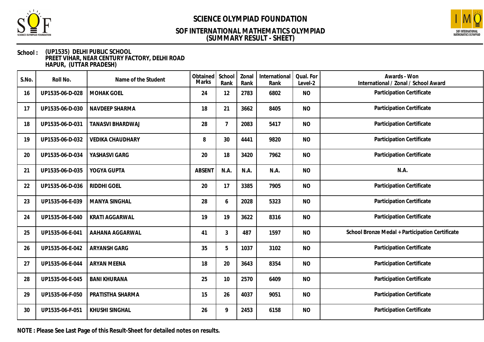



### **School : (UP1535) DELHI PUBLIC SCHOOL PREET VIHAR, NEAR CENTURY FACTORY, DELHI ROAD HAPUR, (UTTAR PRADESH)**

| S.No. | Roll No.        | Name of the Student     | Obtained<br>Marks | School<br>Rank | Zonal<br>Rank | International<br>Rank | Qual. For<br>Level-2 | Awards - Won<br>International / Zonal / School Award |
|-------|-----------------|-------------------------|-------------------|----------------|---------------|-----------------------|----------------------|------------------------------------------------------|
| 16    | UP1535-06-D-028 | <b>MOHAK GOEL</b>       | 24                | 12             | 2783          | 6802                  | <b>NO</b>            | Participation Certificate                            |
| 17    | UP1535-06-D-030 | NAVDEEP SHARMA          | 18                | 21             | 3662          | 8405                  | <b>NO</b>            | Participation Certificate                            |
| 18    | UP1535-06-D-031 | <b>TANASVI BHARDWAJ</b> | 28                | 7              | 2083          | 5417                  | <b>NO</b>            | Participation Certificate                            |
| 19    | UP1535-06-D-032 | <b>VEDIKA CHAUDHARY</b> | 8                 | 30             | 4441          | 9820                  | <b>NO</b>            | Participation Certificate                            |
| 20    | UP1535-06-D-034 | YASHASVI GARG           | 20                | 18             | 3420          | 7962                  | <b>NO</b>            | Participation Certificate                            |
| 21    | UP1535-06-D-035 | YOGYA GUPTA             | <b>ABSENT</b>     | N.A.           | N.A.          | N.A.                  | <b>NO</b>            | N.A.                                                 |
| 22    | UP1535-06-D-036 | RIDDHI GOEL             | 20                | 17             | 3385          | 7905                  | <b>NO</b>            | Participation Certificate                            |
| 23    | UP1535-06-E-039 | MANYA SINGHAL           | 28                | 6              | 2028          | 5323                  | <b>NO</b>            | Participation Certificate                            |
| 24    | UP1535-06-E-040 | <b>KRATI AGGARWAL</b>   | 19                | 19             | 3622          | 8316                  | <b>NO</b>            | Participation Certificate                            |
| 25    | UP1535-06-E-041 | AAHANA AGGARWAL         | 41                | $\mathfrak{Z}$ | 487           | 1597                  | <b>NO</b>            | School Bronze Medal + Participation Certificate      |
| 26    | UP1535-06-E-042 | ARYANSH GARG            | 35                | 5              | 1037          | 3102                  | <b>NO</b>            | Participation Certificate                            |
| 27    | UP1535-06-E-044 | <b>ARYAN MEENA</b>      | 18                | 20             | 3643          | 8354                  | <b>NO</b>            | Participation Certificate                            |
| 28    | UP1535-06-E-045 | <b>BANI KHURANA</b>     | 25                | 10             | 2570          | 6409                  | <b>NO</b>            | Participation Certificate                            |
| 29    | UP1535-06-F-050 | PRATISTHA SHARMA        | 15                | 26             | 4037          | 9051                  | <b>NO</b>            | Participation Certificate                            |
| 30    | UP1535-06-F-051 | KHUSHI SINGHAL          | 26                | 9              | 2453          | 6158                  | <b>NO</b>            | Participation Certificate                            |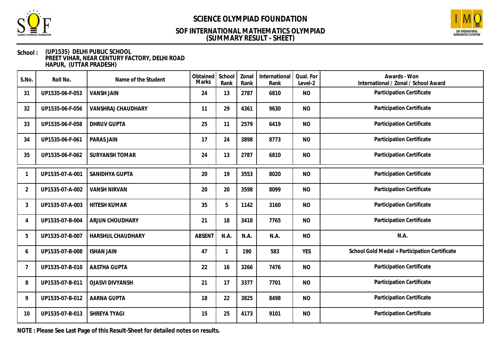



### **School : (UP1535) DELHI PUBLIC SCHOOL PREET VIHAR, NEAR CENTURY FACTORY, DELHI ROAD HAPUR, (UTTAR PRADESH)**

| S.No.          | Roll No.        | Name of the Student       | Obtained<br>Marks | School<br>Rank          | Zonal<br>Rank | International<br>Rank | Qual. For<br>Level-2 | Awards - Won<br>International / Zonal / School Award |
|----------------|-----------------|---------------------------|-------------------|-------------------------|---------------|-----------------------|----------------------|------------------------------------------------------|
| 31             | UP1535-06-F-053 | <b>VANSH JAIN</b>         | 24                | 13                      | 2787          | 6810                  | <b>NO</b>            | Participation Certificate                            |
| 32             | UP1535-06-F-056 | <b>VANSHRAJ CHAUDHARY</b> | 11                | 29                      | 4361          | 9630                  | <b>NO</b>            | Participation Certificate                            |
| 33             | UP1535-06-F-058 | <b>DHRUV GUPTA</b>        | 25                | 11                      | 2579          | 6419                  | <b>NO</b>            | Participation Certificate                            |
| 34             | UP1535-06-F-061 | PARAS JAIN                | 17                | 24                      | 3898          | 8773                  | <b>NO</b>            | Participation Certificate                            |
| 35             | UP1535-06-F-062 | <b>SURYANSH TOMAR</b>     | 24                | 13                      | 2787          | 6810                  | <b>NO</b>            | Participation Certificate                            |
|                | UP1535-07-A-001 | SANIDHYA GUPTA            | 20                | 19                      | 3553          | 8020                  | <b>NO</b>            | Participation Certificate                            |
| $\overline{2}$ | UP1535-07-A-002 | <b>VANSH NIRVAN</b>       | 20                | 20                      | 3598          | 8099                  | <b>NO</b>            | Participation Certificate                            |
| 3              | UP1535-07-A-003 | <b>HITESH KUMAR</b>       | 35                | 5                       | 1142          | 3160                  | <b>NO</b>            | Participation Certificate                            |
| 4              | UP1535-07-B-004 | ARJUN CHOUDHARY           | 21                | 18                      | 3418          | 7765                  | <b>NO</b>            | Participation Certificate                            |
| 5              | UP1535-07-B-007 | HARSHUL CHAUDHARY         | ABSENT            | N.A.                    | N.A.          | N.A.                  | <b>NO</b>            | N.A.                                                 |
| 6              | UP1535-07-B-008 | <b>ISHAN JAIN</b>         | 47                | $\overline{\mathbf{1}}$ | 190           | 583                   | <b>YES</b>           | School Gold Medal + Participation Certificate        |
| 7              | UP1535-07-B-010 | <b>AASTHA GUPTA</b>       | 22                | 16                      | 3266          | 7476                  | <b>NO</b>            | Participation Certificate                            |
| 8              | UP1535-07-B-011 | <b>OJASVI DIVYANSH</b>    | 21                | 17                      | 3377          | 7701                  | <b>NO</b>            | Participation Certificate                            |
| 9              | UP1535-07-B-012 | AARNA GUPTA               | 18                | 22                      | 3825          | 8498                  | <b>NO</b>            | Participation Certificate                            |
| 10             | UP1535-07-B-013 | SHREYA TYAGI              | 15                | 25                      | 4173          | 9101                  | <b>NO</b>            | Participation Certificate                            |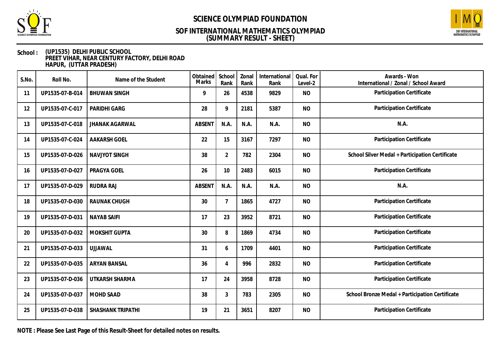



### **School : (UP1535) DELHI PUBLIC SCHOOL PREET VIHAR, NEAR CENTURY FACTORY, DELHI ROAD HAPUR, (UTTAR PRADESH)**

| S.No. | Roll No.        | Name of the Student   | Obtained<br>Marks | School<br>Rank  | Zonal<br>Rank | International<br>Rank | Qual. For<br>Level-2 | Awards - Won<br>International / Zonal / School Award |
|-------|-----------------|-----------------------|-------------------|-----------------|---------------|-----------------------|----------------------|------------------------------------------------------|
| 11    | UP1535-07-B-014 | <b>BHUWAN SINGH</b>   | 9                 | 26              | 4538          | 9829                  | <b>NO</b>            | Participation Certificate                            |
| 12    | UP1535-07-C-017 | PARIDHI GARG          | 28                | 9               | 2181          | 5387                  | <b>NO</b>            | Participation Certificate                            |
| 13    | UP1535-07-C-018 | <b>JHANAK AGARWAL</b> | <b>ABSENT</b>     | N.A.            | N.A.          | N.A.                  | <b>NO</b>            | N.A.                                                 |
| 14    | UP1535-07-C-024 | <b>AAKARSH GOEL</b>   | 22                | 15              | 3167          | 7297                  | <b>NO</b>            | Participation Certificate                            |
| 15    | UP1535-07-D-026 | NAVJYOT SINGH         | 38                | $\overline{2}$  | 782           | 2304                  | <b>NO</b>            | School Silver Medal + Participation Certificate      |
| 16    | UP1535-07-D-027 | PRAGYA GOEL           | 26                | 10 <sup>°</sup> | 2483          | 6015                  | <b>NO</b>            | Participation Certificate                            |
| 17    | UP1535-07-D-029 | RUDRA RAJ             | <b>ABSENT</b>     | N.A.            | N.A.          | N.A.                  | <b>NO</b>            | N.A.                                                 |
| 18    | UP1535-07-D-030 | RAUNAK CHUGH          | 30                | 7               | 1865          | 4727                  | <b>NO</b>            | Participation Certificate                            |
| 19    | UP1535-07-D-031 | <b>NAYAB SAIFI</b>    | 17                | 23              | 3952          | 8721                  | <b>NO</b>            | Participation Certificate                            |
| 20    | UP1535-07-D-032 | MOKSHIT GUPTA         | 30                | 8               | 1869          | 4734                  | <b>NO</b>            | Participation Certificate                            |
| 21    | UP1535-07-D-033 | <b>UJJAWAL</b>        | 31                | 6               | 1709          | 4401                  | <b>NO</b>            | Participation Certificate                            |
| 22    | UP1535-07-D-035 | <b>ARYAN BANSAL</b>   | 36                | 4               | 996           | 2832                  | <b>NO</b>            | Participation Certificate                            |
| 23    | UP1535-07-D-036 | UTKARSH SHARMA        | 17                | 24              | 3958          | 8728                  | <b>NO</b>            | Participation Certificate                            |
| 24    | UP1535-07-D-037 | MOHD SAAD             | 38                | 3               | 783           | 2305                  | <b>NO</b>            | School Bronze Medal + Participation Certificate      |
| 25    | UP1535-07-D-038 | SHASHANK TRIPATHI     | 19                | 21              | 3651          | 8207                  | <b>NO</b>            | Participation Certificate                            |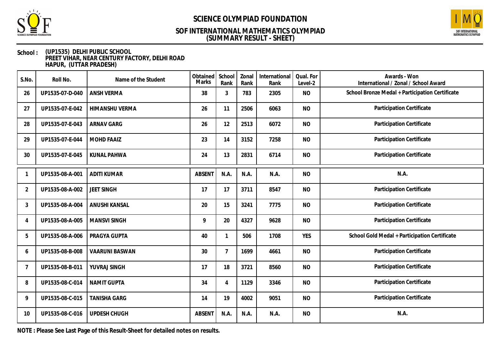



### **School : (UP1535) DELHI PUBLIC SCHOOL PREET VIHAR, NEAR CENTURY FACTORY, DELHI ROAD HAPUR, (UTTAR PRADESH)**

| S.No.          | Roll No.        | Name of the Student   | Obtained<br><b>Marks</b> | School<br>Rank | Zonal<br>Rank | International<br>Rank | Qual. For<br>Level-2 | Awards - Won<br>International / Zonal / School Award |
|----------------|-----------------|-----------------------|--------------------------|----------------|---------------|-----------------------|----------------------|------------------------------------------------------|
| 26             | UP1535-07-D-040 | <b>ANSH VERMA</b>     | 38                       | 3              | 783           | 2305                  | <b>NO</b>            | School Bronze Medal + Participation Certificate      |
| 27             | UP1535-07-E-042 | <b>HIMANSHU VERMA</b> | 26                       | 11             | 2506          | 6063                  | <b>NO</b>            | Participation Certificate                            |
| 28             | UP1535-07-E-043 | ARNAV GARG            | 26                       | 12             | 2513          | 6072                  | <b>NO</b>            | Participation Certificate                            |
| 29             | UP1535-07-E-044 | <b>MOHD FAAIZ</b>     | 23                       | 14             | 3152          | 7258                  | <b>NO</b>            | Participation Certificate                            |
| 30             | UP1535-07-E-045 | KUNAL PAHWA           | 24                       | 13             | 2831          | 6714                  | <b>NO</b>            | Participation Certificate                            |
|                | UP1535-08-A-001 | <b>ADITI KUMAR</b>    | <b>ABSENT</b>            | N.A.           | N.A.          | N.A.                  | <b>NO</b>            | N.A.                                                 |
| $\overline{2}$ | UP1535-08-A-002 | <b>JEET SINGH</b>     | 17                       | 17             | 3711          | 8547                  | <b>NO</b>            | Participation Certificate                            |
| 3              | UP1535-08-A-004 | <b>ANUSHI KANSAL</b>  | 20                       | 15             | 3241          | 7775                  | <b>NO</b>            | Participation Certificate                            |
| 4              | UP1535-08-A-005 | <b>MANSVI SINGH</b>   | 9                        | 20             | 4327          | 9628                  | <b>NO</b>            | Participation Certificate                            |
| 5              | UP1535-08-A-006 | PRAGYA GUPTA          | 40                       | 1              | 506           | 1708                  | <b>YES</b>           | School Gold Medal + Participation Certificate        |
| 6              | UP1535-08-B-008 | <b>VAARUNI BASWAN</b> | 30                       | $\overline{7}$ | 1699          | 4661                  | <b>NO</b>            | Participation Certificate                            |
| 7              | UP1535-08-B-011 | YUVRAJ SINGH          | 17                       | 18             | 3721          | 8560                  | <b>NO</b>            | Participation Certificate                            |
| 8              | UP1535-08-C-014 | <b>NAMIT GUPTA</b>    | 34                       | 4              | 1129          | 3346                  | <b>NO</b>            | Participation Certificate                            |
| 9              | UP1535-08-C-015 | <b>TANISHA GARG</b>   | 14                       | 19             | 4002          | 9051                  | <b>NO</b>            | Participation Certificate                            |
| 10             | UP1535-08-C-016 | UPDESH CHUGH          | ABSENT                   | N.A.           | N.A.          | N.A.                  | <b>NO</b>            | N.A.                                                 |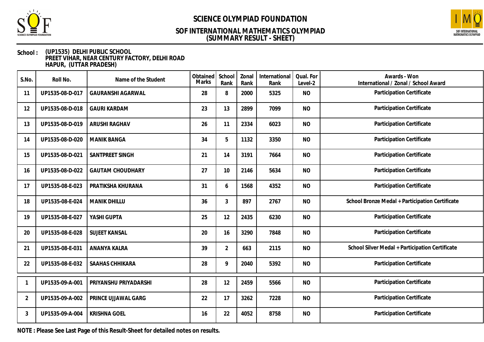



### **School : (UP1535) DELHI PUBLIC SCHOOL PREET VIHAR, NEAR CENTURY FACTORY, DELHI ROAD HAPUR, (UTTAR PRADESH)**

| S.No.          | Roll No.        | Name of the Student      | Obtained<br>Marks | School<br>Rank | Zonal<br>Rank | International<br>Rank | Qual. For<br>Level-2 | Awards - Won<br>International / Zonal / School Award |
|----------------|-----------------|--------------------------|-------------------|----------------|---------------|-----------------------|----------------------|------------------------------------------------------|
| 11             | UP1535-08-D-017 | <b>GAURANSHI AGARWAL</b> | 28                | 8              | 2000          | 5325                  | <b>NO</b>            | Participation Certificate                            |
| 12             | UP1535-08-D-018 | <b>GAURI KARDAM</b>      | 23                | 13             | 2899          | 7099                  | <b>NO</b>            | Participation Certificate                            |
| 13             | UP1535-08-D-019 | <b>ARUSHI RAGHAV</b>     | 26                | 11             | 2334          | 6023                  | <b>NO</b>            | Participation Certificate                            |
| 14             | UP1535-08-D-020 | <b>MANIK BANGA</b>       | 34                | 5              | 1132          | 3350                  | <b>NO</b>            | Participation Certificate                            |
| 15             | UP1535-08-D-021 | SANTPREET SINGH          | 21                | 14             | 3191          | 7664                  | <b>NO</b>            | Participation Certificate                            |
| 16             | UP1535-08-D-022 | <b>GAUTAM CHOUDHARY</b>  | 27                | 10             | 2146          | 5634                  | <b>NO</b>            | Participation Certificate                            |
| 17             | UP1535-08-E-023 | PRATIKSHA KHURANA        | 31                | 6              | 1568          | 4352                  | <b>NO</b>            | Participation Certificate                            |
| 18             | UP1535-08-E-024 | <b>MANIK DHILLU</b>      | 36                | $\overline{3}$ | 897           | 2767                  | <b>NO</b>            | School Bronze Medal + Participation Certificate      |
| 19             | UP1535-08-E-027 | YASHI GUPTA              | 25                | 12             | 2435          | 6230                  | <b>NO</b>            | Participation Certificate                            |
| 20             | UP1535-08-E-028 | <b>SUJEET KANSAL</b>     | 20                | 16             | 3290          | 7848                  | <b>NO</b>            | Participation Certificate                            |
| 21             | UP1535-08-E-031 | ANANYA KALRA             | 39                | $\overline{2}$ | 663           | 2115                  | <b>NO</b>            | School Silver Medal + Participation Certificate      |
| 22             | UP1535-08-E-032 | SAAHAS CHHIKARA          | 28                | 9              | 2040          | 5392                  | <b>NO</b>            | Participation Certificate                            |
|                | UP1535-09-A-001 | PRIYANSHU PRIYADARSHI    | 28                | 12             | 2459          | 5566                  | <b>NO</b>            | Participation Certificate                            |
| $\overline{2}$ | UP1535-09-A-002 | PRINCE UJJAWAL GARG      | 22                | 17             | 3262          | 7228                  | <b>NO</b>            | Participation Certificate                            |
| 3              | UP1535-09-A-004 | <b>KRISHNA GOEL</b>      | 16                | 22             | 4052          | 8758                  | <b>NO</b>            | Participation Certificate                            |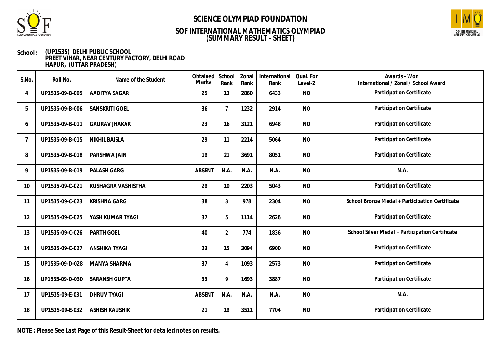



### **School : (UP1535) DELHI PUBLIC SCHOOL PREET VIHAR, NEAR CENTURY FACTORY, DELHI ROAD HAPUR, (UTTAR PRADESH)**

| S.No. | Roll No.        | Name of the Student   | Obtained<br>Marks | School<br>Rank | Zonal<br>Rank | International<br>Rank | Qual. For<br>Level-2 | Awards - Won<br>International / Zonal / School Award |
|-------|-----------------|-----------------------|-------------------|----------------|---------------|-----------------------|----------------------|------------------------------------------------------|
| 4     | UP1535-09-B-005 | AADITYA SAGAR         | 25                | 13             | 2860          | 6433                  | <b>NO</b>            | Participation Certificate                            |
| 5     | UP1535-09-B-006 | SANSKRITI GOEL        | 36                | $\overline{7}$ | 1232          | 2914                  | <b>NO</b>            | Participation Certificate                            |
| 6     | UP1535-09-B-011 | <b>GAURAV JHAKAR</b>  | 23                | 16             | 3121          | 6948                  | <b>NO</b>            | Participation Certificate                            |
| 7     | UP1535-09-B-015 | <b>NIKHIL BAISLA</b>  | 29                | 11             | 2214          | 5064                  | <b>NO</b>            | Participation Certificate                            |
| 8     | UP1535-09-B-018 | PARSHWA JAIN          | 19                | 21             | 3691          | 8051                  | <b>NO</b>            | Participation Certificate                            |
| 9     | UP1535-09-B-019 | PALASH GARG           | <b>ABSENT</b>     | N.A.           | N.A.          | N.A.                  | <b>NO</b>            | N.A.                                                 |
| 10    | UP1535-09-C-021 | KUSHAGRA VASHISTHA    | 29                | 10             | 2203          | 5043                  | <b>NO</b>            | Participation Certificate                            |
| 11    | UP1535-09-C-023 | <b>KRISHNA GARG</b>   | 38                | $\mathfrak{Z}$ | 978           | 2304                  | <b>NO</b>            | School Bronze Medal + Participation Certificate      |
| 12    | UP1535-09-C-025 | YASH KUMAR TYAGI      | 37                | 5              | 1114          | 2626                  | <b>NO</b>            | Participation Certificate                            |
| 13    | UP1535-09-C-026 | PARTH GOEL            | 40                | $\overline{2}$ | 774           | 1836                  | <b>NO</b>            | School Silver Medal + Participation Certificate      |
| 14    | UP1535-09-C-027 | <b>ANSHIKA TYAGI</b>  | 23                | 15             | 3094          | 6900                  | <b>NO</b>            | Participation Certificate                            |
| 15    | UP1535-09-D-028 | MANYA SHARMA          | 37                | 4              | 1093          | 2573                  | <b>NO</b>            | Participation Certificate                            |
| 16    | UP1535-09-D-030 | <b>SARANSH GUPTA</b>  | 33                | 9              | 1693          | 3887                  | <b>NO</b>            | Participation Certificate                            |
| 17    | UP1535-09-E-031 | <b>DHRUV TYAGI</b>    | <b>ABSENT</b>     | N.A.           | N.A.          | N.A.                  | <b>NO</b>            | N.A.                                                 |
| 18    | UP1535-09-E-032 | <b>ASHISH KAUSHIK</b> | 21                | 19             | 3511          | 7704                  | <b>NO</b>            | Participation Certificate                            |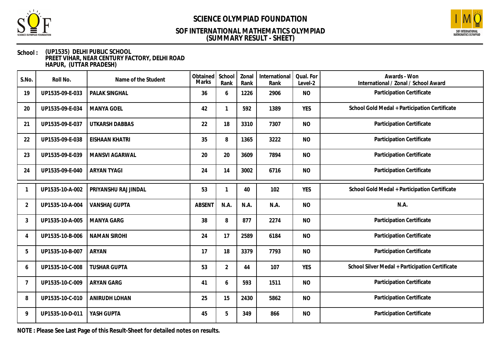



### **School : (UP1535) DELHI PUBLIC SCHOOL PREET VIHAR, NEAR CENTURY FACTORY, DELHI ROAD HAPUR, (UTTAR PRADESH)**

| S.No.          | Roll No.        | Name of the Student   | Obtained<br>Marks | School<br>Rank | Zonal<br>Rank | International<br>Rank | Qual. For<br>Level-2 | Awards - Won<br>International / Zonal / School Award |
|----------------|-----------------|-----------------------|-------------------|----------------|---------------|-----------------------|----------------------|------------------------------------------------------|
| 19             | UP1535-09-E-033 | PALAK SINGHAL         | 36                | 6              | 1226          | 2906                  | <b>NO</b>            | Participation Certificate                            |
| 20             | UP1535-09-E-034 | <b>MANYA GOEL</b>     | 42                | $\mathbf{1}$   | 592           | 1389                  | <b>YES</b>           | School Gold Medal + Participation Certificate        |
| 21             | UP1535-09-E-037 | UTKARSH DABBAS        | 22                | 18             | 3310          | 7307                  | <b>NO</b>            | Participation Certificate                            |
| 22             | UP1535-09-E-038 | <b>EISHAAN KHATRI</b> | 35                | 8              | 1365          | 3222                  | <b>NO</b>            | Participation Certificate                            |
| 23             | UP1535-09-E-039 | <b>MANSVI AGARWAL</b> | 20                | 20             | 3609          | 7894                  | <b>NO</b>            | Participation Certificate                            |
| 24             | UP1535-09-E-040 | <b>ARYAN TYAGI</b>    | 24                | 14             | 3002          | 6716                  | <b>NO</b>            | Participation Certificate                            |
|                | UP1535-10-A-002 | PRIYANSHU RAJ JINDAL  | 53                | $\mathbf{1}$   | 40            | 102                   | <b>YES</b>           | School Gold Medal + Participation Certificate        |
| $\overline{2}$ | UP1535-10-A-004 | <b>VANSHAJ GUPTA</b>  | <b>ABSENT</b>     | N.A.           | N.A.          | N.A.                  | <b>NO</b>            | N.A.                                                 |
| 3              | UP1535-10-A-005 | <b>MANYA GARG</b>     | 38                | 8              | 877           | 2274                  | <b>NO</b>            | Participation Certificate                            |
| 4              | UP1535-10-B-006 | <b>NAMAN SIROHI</b>   | 24                | 17             | 2589          | 6184                  | <b>NO</b>            | Participation Certificate                            |
| 5              | UP1535-10-B-007 | ARYAN                 | 17                | 18             | 3379          | 7793                  | <b>NO</b>            | Participation Certificate                            |
| 6              | UP1535-10-C-008 | <b>TUSHAR GUPTA</b>   | 53                | $\overline{2}$ | 44            | 107                   | <b>YES</b>           | School Silver Medal + Participation Certificate      |
| 7              | UP1535-10-C-009 | <b>ARYAN GARG</b>     | 41                | 6              | 593           | 1511                  | <b>NO</b>            | Participation Certificate                            |
| 8              | UP1535-10-C-010 | ANIRUDH LOHAN         | 25                | 15             | 2430          | 5862                  | <b>NO</b>            | Participation Certificate                            |
| 9              | UP1535-10-D-011 | YASH GUPTA            | 45                | 5              | 349           | 866                   | <b>NO</b>            | Participation Certificate                            |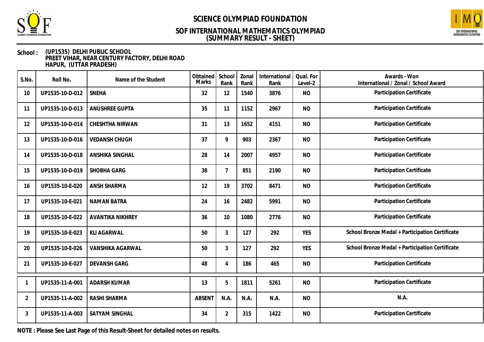



### **School : (UP1535) DELHI PUBLIC SCHOOL PREET VIHAR, NEAR CENTURY FACTORY, DELHI ROAD HAPUR, (UTTAR PRADESH)**

| S.No.          | Roll No.        | Name of the Student     | Obtained<br>Marks | School<br>Rank | Zonal<br>Rank | International<br>Rank | Qual. For<br>Level-2 | Awards - Won<br>International / Zonal / School Award |
|----------------|-----------------|-------------------------|-------------------|----------------|---------------|-----------------------|----------------------|------------------------------------------------------|
| 10             | UP1535-10-D-012 | <b>SNEHA</b>            | 32                | 12             | 1540          | 3876                  | <b>NO</b>            | Participation Certificate                            |
| 11             | UP1535-10-D-013 | <b>ANUSHREE GUPTA</b>   | 35                | 11             | 1152          | 2967                  | <b>NO</b>            | Participation Certificate                            |
| 12             | UP1535-10-D-014 | CHESHTHA NIRWAN         | 31                | 13             | 1652          | 4151                  | <b>NO</b>            | Participation Certificate                            |
| 13             | UP1535-10-D-016 | <b>VEDANSH CHUGH</b>    | 37                | 9              | 903           | 2367                  | <b>NO</b>            | Participation Certificate                            |
| 14             | UP1535-10-D-018 | ANSHIKA SINGHAL         | 28                | 14             | 2007          | 4957                  | <b>NO</b>            | Participation Certificate                            |
| 15             | UP1535-10-D-019 | SHOBHA GARG             | 38                | $\overline{7}$ | 851           | 2190                  | <b>NO</b>            | Participation Certificate                            |
| 16             | UP1535-10-E-020 | <b>ANSH SHARMA</b>      | 12                | 19             | 3702          | 8471                  | <b>NO</b>            | Participation Certificate                            |
| 17             | UP1535-10-E-021 | <b>NAMAN BATRA</b>      | 24                | 16             | 2482          | 5991                  | <b>NO</b>            | Participation Certificate                            |
| 18             | UP1535-10-E-022 | <b>AVANTIKA NIKHREY</b> | 36                | 10             | 1080          | 2776                  | <b>NO</b>            | Participation Certificate                            |
| 19             | UP1535-10-E-023 | <b>KLI AGARWAL</b>      | 50                | 3              | 127           | 292                   | <b>YES</b>           | School Bronze Medal + Participation Certificate      |
| 20             | UP1535-10-E-026 | VANSHIKA AGARWAL        | 50                | 3              | 127           | 292                   | <b>YES</b>           | School Bronze Medal + Participation Certificate      |
| 21             | UP1535-10-E-027 | <b>DEVANSH GARG</b>     | 48                | 4              | 186           | 465                   | <b>NO</b>            | Participation Certificate                            |
|                | UP1535-11-A-001 | ADARSH KUMAR            | 13                | 5              | 1811          | 5261                  | <b>NO</b>            | Participation Certificate                            |
| $\overline{2}$ | UP1535-11-A-002 | RASHI SHARMA            | <b>ABSENT</b>     | N.A.           | N.A.          | N.A.                  | <b>NO</b>            | N.A.                                                 |
| 3              | UP1535-11-A-003 | SATYAM SINGHAL          | 34                | $\overline{2}$ | 315           | 1422                  | <b>NO</b>            | Participation Certificate                            |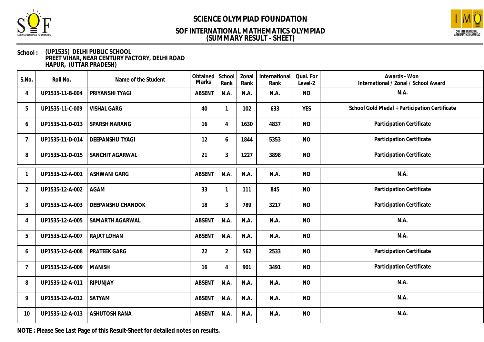



### **School : (UP1535) DELHI PUBLIC SCHOOL PREET VIHAR, NEAR CENTURY FACTORY, DELHI ROAD HAPUR, (UTTAR PRADESH)**

| S.No.          | Roll No.        | Name of the Student  | Obtained<br>Marks | School<br>Rank | Zonal<br>Rank | International<br>Rank | Qual. For<br>Level-2 | Awards - Won<br>International / Zonal / School Award |
|----------------|-----------------|----------------------|-------------------|----------------|---------------|-----------------------|----------------------|------------------------------------------------------|
| 4              | UP1535-11-B-004 | PRIYANSHI TYAGI      | <b>ABSENT</b>     | N.A.           | N.A.          | N.A.                  | <b>NO</b>            | N.A.                                                 |
| 5              | UP1535-11-C-009 | <b>VISHAL GARG</b>   | 40                | $\overline{1}$ | 102           | 633                   | <b>YES</b>           | School Gold Medal + Participation Certificate        |
| 6              | UP1535-11-D-013 | SPARSH NARANG        | 16                | $\overline{4}$ | 1630          | 4837                  | <b>NO</b>            | Participation Certificate                            |
| 7              | UP1535-11-D-014 | DEEPANSHU TYAGI      | 12                | 6              | 1844          | 5353                  | <b>NO</b>            | Participation Certificate                            |
| 8              | UP1535-11-D-015 | SANCHIT AGARWAL      | 21                | $\mathfrak{Z}$ | 1227          | 3898                  | <b>NO</b>            | Participation Certificate                            |
|                | UP1535-12-A-001 | <b>ASHWANI GARG</b>  | <b>ABSENT</b>     | N.A.           | N.A.          | N.A.                  | <b>NO</b>            | N.A.                                                 |
| $\overline{2}$ | UP1535-12-A-002 | <b>AGAM</b>          | 33                | $\mathbf{1}$   | 111           | 845                   | <b>NO</b>            | Participation Certificate                            |
| 3              | UP1535-12-A-003 | DEEPANSHU CHANDOK    | 18                | $\mathfrak{Z}$ | 789           | 3217                  | <b>NO</b>            | Participation Certificate                            |
| 4              | UP1535-12-A-005 | SAMARTH AGARWAL      | ABSENT            | N.A.           | N.A.          | N.A.                  | <b>NO</b>            | N.A.                                                 |
| 5              | UP1535-12-A-007 | RAJAT LOHAN          | <b>ABSENT</b>     | N.A.           | N.A.          | N.A.                  | <b>NO</b>            | N.A.                                                 |
| 6              | UP1535-12-A-008 | PRATEEK GARG         | 22                | $\overline{2}$ | 562           | 2533                  | <b>NO</b>            | Participation Certificate                            |
| 7              | UP1535-12-A-009 | <b>MANISH</b>        | 16                | $\overline{4}$ | 901           | 3491                  | <b>NO</b>            | Participation Certificate                            |
| 8              | UP1535-12-A-011 | RIPUNJAY             | ABSENT            | N.A.           | N.A.          | N.A.                  | <b>NO</b>            | N.A.                                                 |
| 9              | UP1535-12-A-012 | SATYAM               | ABSENT            | N.A.           | N.A.          | N.A.                  | <b>NO</b>            | N.A.                                                 |
| 10             | UP1535-12-A-013 | <b>ASHUTOSH RANA</b> | ABSENT            | N.A.           | N.A.          | N.A.                  | <b>NO</b>            | N.A.                                                 |